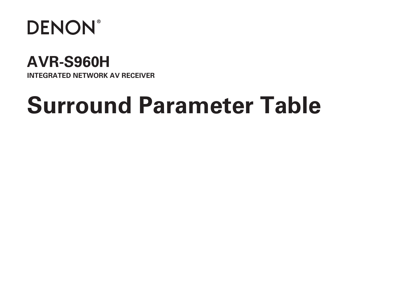

## **AVR-S960H**

**INTEGRATED NETWORK AV RECEIVER**

# **Surround Parameter Table**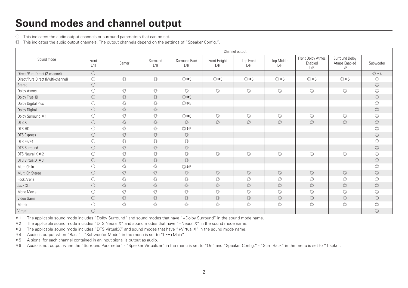### **Sound modes and channel output**

 $\bigcirc$  This indicates the audio output channels or surround parameters that can be set.

D This indicates the audio output channels. The output channels depend on the settings of "Speaker Config.".

|                                    |              |                |                 |                      |                     | Channel output          |                          |                                     |                                        |                |
|------------------------------------|--------------|----------------|-----------------|----------------------|---------------------|-------------------------|--------------------------|-------------------------------------|----------------------------------------|----------------|
| Sound mode                         | Front<br>L/R | Center         | Surround<br>L/R | Surround Back<br>L/R | Front Height<br>L/R | <b>Top Front</b><br>L/R | <b>Top Middle</b><br>L/R | Front Dolby Atmos<br>Enabled<br>L/R | Surround Dolby<br>Atmos Enabled<br>L/R | Subwoofer      |
| Direct/Pure Direct (2-channel)     | $\bigcirc$   |                |                 |                      |                     |                         |                          |                                     |                                        | $@*4$          |
| Direct/Pure Direct (Multi-channel) | $\circ$      | $\circledcirc$ | $\circledcirc$  | $@*5$                | $@*5$               | ◎ * 5                   | $@*5$                    | $@*5$                               | ◎ * 5                                  | $\circledcirc$ |
| Stereo                             | $\bigcirc$   |                |                 |                      |                     |                         |                          |                                     |                                        | $\circledcirc$ |
| Dolby Atmos                        | $\bigcirc$   | $\circledcirc$ | $\circledcirc$  | $\circledcirc$       | $\circledcirc$      | $\circledcirc$          | $\circledcirc$           | $\circledcirc$                      | $\circledcirc$                         | $\circledcirc$ |
| Dolby TrueHD                       | $\bigcirc$   | $\circledcirc$ | $\circledcirc$  | ◎ * 5                |                     |                         |                          |                                     |                                        | $\circledcirc$ |
| Dolby Digital Plus                 | $\bigcirc$   | $\circledcirc$ | $\circledcirc$  | ◎ * 5                |                     |                         |                          |                                     |                                        | $\circledcirc$ |
| Dolby Digital                      | $\circ$      | $\circledcirc$ | $\circledcirc$  |                      |                     |                         |                          |                                     |                                        | $\circledcirc$ |
| Dolby Surround *1                  | ∩            | $\circledcirc$ | $\circledcirc$  | $@*6$                | $\circledcirc$      | $\circledcirc$          | $\circledcirc$           | $\circledcirc$                      | $\circledcirc$                         | $\circledcirc$ |
| DTS:X                              | $\circ$      | $\circledcirc$ | $\circledcirc$  | $\circledcirc$       | $\circledcirc$      | $\circledcirc$          | $\circledcirc$           | $\circledcirc$                      | $\circledcirc$                         | $\circledcirc$ |
| DTS-HD                             | $\bigcirc$   | $\circledcirc$ | $\circledcirc$  | ◎ * 5                |                     |                         |                          |                                     |                                        | $\circledcirc$ |
| <b>DTS Express</b>                 | $\circ$      | $\circledcirc$ | $\circledcirc$  | $\circledcirc$       |                     |                         |                          |                                     |                                        | $\circledcirc$ |
| DTS 96/24                          | $\bigcirc$   | $\circledcirc$ | $\circledcirc$  | $\circledcirc$       |                     |                         |                          |                                     |                                        | $\circledcirc$ |
| <b>DTS Surround</b>                | $\circ$      | $\circledcirc$ | $\circledcirc$  | $\circledcirc$       |                     |                         |                          |                                     |                                        | $\circledcirc$ |
| DTS Neural:X *2                    | $\bigcirc$   | $\circledcirc$ | $\circledcirc$  | $\circledcirc$       | $\circledcirc$      | $\circledcirc$          | $\circledcirc$           | $\circledcirc$                      | $\circledcirc$                         | $\circledcirc$ |
| DTS Virtual: X *3                  | $\bigcirc$   | $\circledcirc$ | $\circledcirc$  | $\circledcirc$       |                     |                         |                          |                                     |                                        | $\circledcirc$ |
| Multi Ch In                        | $\bigcirc$   | $\circledcirc$ | $\circledcirc$  | $@*5$                |                     |                         |                          |                                     |                                        | $\circledcirc$ |
| Multi Ch Stereo                    | $\bigcirc$   | $\circledcirc$ | $\circledcirc$  | $\circledcirc$       | $\circledcirc$      | $\circledcirc$          | $\circledcirc$           | $\circledcirc$                      | $\circledcirc$                         | $\circledcirc$ |
| Rock Arena                         | $\circ$      | $\circledcirc$ | $\circledcirc$  | $\circledcirc$       | $\circledcirc$      | $\circledcirc$          | $\circledcirc$           | $\circledcirc$                      | $\circledcirc$                         | $\circledcirc$ |
| Jazz Club                          | $\circ$      | $\circledcirc$ | $\circledcirc$  | $\circledcirc$       | $\circledcirc$      | $\circledcirc$          | $\circledcirc$           | $\circledcirc$                      | $\circledcirc$                         | $\circledcirc$ |
| Mono Movie                         | ◯            | $\circledcirc$ | $\circledcirc$  | $\circledcirc$       | $\circledcirc$      | $\circledcirc$          | $\circledcirc$           | $\circledcirc$                      | $\circledcirc$                         | $\circledcirc$ |
| Video Game                         | $\bigcirc$   | $\circledcirc$ | $\circledcirc$  | $\circledcirc$       | $\circledcirc$      | $\circledcirc$          | $\circledcirc$           | $\circledcirc$                      | $\circledcirc$                         | $\circledcirc$ |
| Matrix                             | O            | $\circledcirc$ | $\circledcirc$  | $\circledcirc$       | $\circledcirc$      | $\circledcirc$          | $\circledcirc$           | $\circledcirc$                      | $\circledcirc$                         | $\circledcirc$ |
| Virtual                            | $\bigcirc$   |                |                 |                      |                     |                         |                          |                                     |                                        | $\circledcirc$ |

z1 The applicable sound mode includes "Dolby Surround" and sound modes that have "+Dolby Surround" in the sound mode name.

z2 The applicable sound mode includes "DTS Neural:X" and sound modes that have "+Neural:X" in the sound mode name.

z3 The applicable sound mode includes "DTS Virtual:X" and sound modes that have "+Virtual:X" in the sound mode name.

z4 Audio is output when "Bass" - "Subwoofer Mode" in the menu is set to "LFE+Main".

\*5 A signal for each channel contained in an input signal is output as audio.

z6 Audio is not output when the "Surround Parameter" - "Speaker Virtualizer" in the menu is set to "On" and "Speaker Config." - "Surr. Back" in the menu is set to "1 spkr".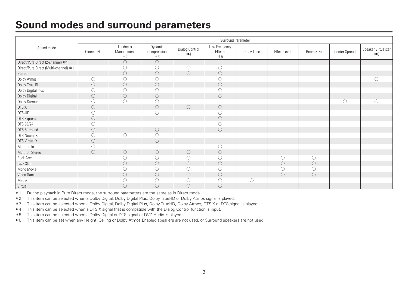#### **Sound modes and surround parameters**

|                                       |            |                                |                                |                        | Surround Parameter               |            |                     |           |               |                             |
|---------------------------------------|------------|--------------------------------|--------------------------------|------------------------|----------------------------------|------------|---------------------|-----------|---------------|-----------------------------|
| Sound mode                            | Cinema EQ  | Loudness<br>Management<br>$*2$ | Dynamic<br>Compression<br>$*3$ | Dialog Control<br>$*4$ | Low Frequency<br>Effects<br>$*5$ | Delay Time | <b>Effect Level</b> | Room Size | Center Spread | Speaker Virtualizer<br>$*6$ |
| Direct/Pure Direct (2-channel) *1     |            | $\circ$                        | $\bigcirc$                     |                        |                                  |            |                     |           |               |                             |
| Direct/Pure Direct (Multi-channel) *1 |            | O                              | O                              | $\circ$                | $\circ$                          |            |                     |           |               |                             |
| Stereo                                |            | $\circ$                        | $\circ$                        | $\circ$                | $\circ$                          |            |                     |           |               |                             |
| Dolby Atmos                           | $\circ$    | O                              | O                              |                        | $\circ$                          |            |                     |           |               | $\circlearrowright$         |
| Dolby TrueHD                          | $\circ$    | $\circ$                        | $\bigcirc$                     |                        | $\circ$                          |            |                     |           |               |                             |
| Dolby Digital Plus                    | O          | O                              | O                              |                        | $\circ$                          |            |                     |           |               |                             |
| Dolby Digital                         | $\circ$    | $\circ$                        | $\circ$                        |                        | $\circ$                          |            |                     |           |               |                             |
| Dolby Surround                        |            | Ō                              | O                              |                        |                                  |            |                     |           | $\circ$       | O                           |
| DTS:X                                 | $\circ$    |                                | $\bigcirc$                     | $\circ$                | $\circ$                          |            |                     |           |               |                             |
| DTS-HD                                | O          |                                | O                              |                        | $\circlearrowright$              |            |                     |           |               |                             |
| <b>DTS Express</b>                    | $\circ$    |                                |                                |                        | $\circ$                          |            |                     |           |               |                             |
| DTS 96/24                             | 0          |                                |                                |                        | $\circ$                          |            |                     |           |               |                             |
| <b>DTS Surround</b>                   | $\circ$    |                                | $\bigcirc$                     |                        | $\circ$                          |            |                     |           |               |                             |
| DTS Neural:X                          | O          | $\bigcirc$                     | O                              |                        |                                  |            |                     |           |               |                             |
| DTS Virtual:X                         | $\circ$    |                                | $\circ$                        |                        |                                  |            |                     |           |               |                             |
| Multi Ch In                           | ∩          |                                |                                |                        | $\circ$                          |            |                     |           |               |                             |
| Multi Ch Stereo                       | $\bigcirc$ | $\circ$                        | $\circ$                        | $\circ$                | $\circ$                          |            |                     |           |               |                             |
| Rock Arena                            |            | O                              | O                              | $\circ$                | $\circ$                          |            | $\bigcirc$          | O         |               |                             |
| Jazz Club                             |            | $\circ$                        | $\bigcirc$                     | $\circ$                | $\circ$                          |            | $\circ$             | $\circ$   |               |                             |
| Mono Movie                            |            | O                              | O                              | $\circlearrowright$    | O                                |            | ( )                 | O         |               |                             |
| Video Game                            |            | $\circ$                        | $\circ$                        | $\circ$                | $\circ$                          |            | $\bigcirc$          | $\circ$   |               |                             |
| Matrix                                |            | O                              | O                              | $\circ$                | $\circ$                          | $\bigcirc$ |                     |           |               |                             |
| Virtual                               |            | $\bigcirc$                     | $\bigcirc$                     | $\bigcirc$             | $\circ$                          |            |                     |           |               |                             |

\*1 During playback in Pure Direct mode, the surround parameters are the same as in Direct mode.

z2 This item can be selected when a Dolby Digital, Dolby Digital Plus, Dolby TrueHD or Dolby Atmos signal is played.

z3 This item can be selected when a Dolby Digital, Dolby Digital Plus, Dolby TrueHD, Dolby Atmos, DTS:X or DTS signal is played.

<sup>#4</sup> This item can be selected when a DTS:X signal that is compatible with the Dialog Control function is input.<br>
<sup>#5</sup> This item can be selected when a Dolby Digital or DTS signal or DVD-Audio is played.

This item can be selected when a Dolby Digital or DTS signal or DVD-Audio is played.

z6 This item can be set when any Height, Ceiling or Dolby Atmos Enabled speakers are not used, or Surround speakers are not used.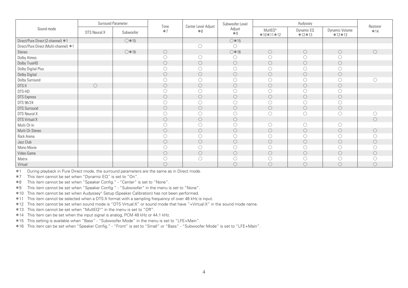|                                       | Surround Parameter |                 | Tone                | Center Level Adjust | Subwoofer Level     |                                  | Audyssey             |                            | Restorer   |
|---------------------------------------|--------------------|-----------------|---------------------|---------------------|---------------------|----------------------------------|----------------------|----------------------------|------------|
| Sound mode                            | DTS Neural:X       | Subwoofer       | $*7$                | $*8$                | Adjust<br>$*9$      | MultE0 <sup>®</sup><br>*10*11*12 | Dynamic EQ<br>*12*13 | Dynamic Volume<br>$*12*13$ | $*14$      |
| Direct/Pure Direct (2-channel) *1     |                    | $\bigcirc$ *15  |                     |                     | $\bigcirc$ *15      |                                  |                      |                            |            |
| Direct/Pure Direct (Multi-channel) *1 |                    |                 |                     | O                   | ( )                 |                                  |                      |                            |            |
| Stereo                                |                    | $\bigcirc$ * 16 | $\circ$             |                     | $\bigcirc$ *16      | $\circ$                          | $\circ$              | $\circ$                    | $\bigcirc$ |
| Dolby Atmos                           |                    |                 | O                   | O                   |                     | $\circ$                          |                      | O                          |            |
| Dolby TrueHD                          |                    |                 | $\circ$             | $\circ$             | $\circ$             | $\circ$                          | O                    | $\circlearrowright$        |            |
| Dolby Digital Plus                    |                    |                 |                     | O                   |                     | Ō                                |                      | O                          |            |
| Dolby Digital                         |                    |                 | $\circ$             | $\circ$             | $\bigcirc$          | $\bigcirc$                       | $\circ$              | $\circ$                    |            |
| Dolby Surround                        |                    |                 |                     | O                   |                     | O                                | С                    | Ō                          |            |
| DTS:X                                 | $\bigcirc$         |                 | $\circlearrowright$ | $\circ$             | $\bigcirc$          | $\circ$                          | $\circ$              | $\circ$                    |            |
| DTS-HD                                |                    |                 |                     | $\circ$             |                     | $\circ$                          |                      | Ō                          |            |
| <b>DTS Express</b>                    |                    |                 | $\circ$             | $\circ$             | $\circ$             | $\circ$                          | $\circ$              | $\circ$                    |            |
| DTS 96/24                             |                    |                 |                     | O                   |                     | $\circ$                          |                      | O                          |            |
| <b>DTS Surround</b>                   |                    |                 | $\circ$             | $\circ$             | $\bigcirc$          | $\circ$                          | $\circ$              | $\circ$                    |            |
| DTS Neural:X                          |                    |                 | 0                   | O                   |                     | O                                | O                    | O                          |            |
| DTS Virtual:X                         |                    |                 | $\circ$             | $\circ$             | $\bigcirc$          |                                  |                      |                            | $\bigcap$  |
| Multi Ch In                           |                    |                 |                     | O                   |                     | O                                | O                    | 0                          |            |
| Multi Ch Stereo                       |                    |                 | $\bigcirc$          | $\circ$             | $\bigcirc$          | $\circ$                          | $\circ$              | $\circ$                    | $\bigcirc$ |
| Rock Arena                            |                    |                 |                     | O                   |                     | O                                | ( )                  | O                          |            |
| Jazz Club                             |                    |                 | $\circ$             | $\circ$             | $\bigcirc$          | $\bigcirc$                       | $\circ$              | $\circ$                    | O          |
| Mono Movie                            |                    |                 |                     | O                   |                     | $\circ$                          |                      | O                          |            |
| Video Game                            |                    |                 | $\circlearrowright$ | $\circlearrowright$ | $\circlearrowright$ | $\bigcirc$                       | $\circ$              | $\bigcirc$                 | 0          |
| Matrix                                |                    |                 |                     | O                   |                     | Ō                                |                      | C                          |            |
| Virtual                               |                    |                 | O                   |                     | 0                   | $\circ$                          | $\bigcirc$           | $\bigcirc$                 | 0          |

\*1 During playback in Pure Direct mode, the surround parameters are the same as in Direct mode.

z7 This item cannot be set when "Dynamic EQ" is set to "On".

z8 This item cannot be set when "Speaker Config." - "Center" is set to "None".

z9 This item cannot be set when "Speaker Config." - "Subwoofer" in the menu is set to "None".

\*10 This item cannot be set when Audyssey® Setup (Speaker Calibration) has not been performed.

z11 This item cannot be selected when a DTS:X format with a sampling frequency of over 48 kHz is input.

z12 This item cannot be set when sound mode is "DTS Virtual:X" or sound mode that have "+Virtual:X" in the sound mode name.

\*13 This item cannot be set when "MultEQ®" in the menu is set to "Off".

\*14 This item can be set when the input signal is analog, PCM 48 kHz or 44.1 kHz.

z15 This setting is available when "Bass" - "Subwoofer Mode" in the menu is set to "LFE+Main".

z16 This item can be set when "Speaker Config." - "Front" is set to "Small" or "Bass" - "Subwoofer Mode" is set to "LFE+Main".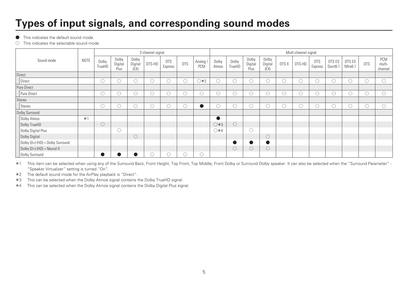### **Types of input signals, and corresponding sound modes**

**•** This indicates the default sound mode.

 $\bigcirc$  This indicates the selectable sound mode.

|                                  |      | 2-channel signal    |                          |                          |        |                       |                 |               |                | Multi-channel signal |                          |                          |            |        |                       |                    |                   |            |                          |  |
|----------------------------------|------|---------------------|--------------------------|--------------------------|--------|-----------------------|-----------------|---------------|----------------|----------------------|--------------------------|--------------------------|------------|--------|-----------------------|--------------------|-------------------|------------|--------------------------|--|
| Sound mode                       | NOTE | Dolby<br>TrueHD     | Dolby<br>Digital<br>Plus | Dolby<br>Digital<br>(EX) | DTS-HD | <b>DTS</b><br>Express | <b>DTS</b>      | Analog<br>PCM | Dolby<br>Atmos | Dolby<br>TrueHD      | Dolby<br>Digital<br>Plus | Dolby<br>Digital<br>(EX) | DTS:X      | DTS-HD | <b>DTS</b><br>Express | DTS ES<br>Dscrt6.1 | DTS ES<br>Mtrx6.1 | <b>DTS</b> | PCM<br>multi-<br>channel |  |
| Direct                           |      |                     |                          |                          |        |                       |                 |               |                |                      |                          |                          |            |        |                       |                    |                   |            |                          |  |
| Direct                           |      | Ö                   | U                        | $\bigcirc$               | ∩      | $\circ$               | $\left(\right)$ | $\bigcirc *2$ | Ō              |                      | O                        |                          | $\bigcirc$ | 0      | U.                    | ∩                  | $\circ$           | O          | $\widehat{\phantom{1}}$  |  |
| <b>Pure Direct</b>               |      |                     |                          |                          |        |                       |                 |               |                |                      |                          |                          |            |        |                       |                    |                   |            |                          |  |
| Pure Direct                      |      | Ō                   | $\circ$                  | $\bigcirc$               | C      | $\circ$               | $\bigcirc$      |               | ∽<br>U         |                      | O                        |                          | ί.         | Ō      | Ō                     | Ő                  | $\circ$           | Ō          |                          |  |
| Stereo                           |      |                     |                          |                          |        |                       |                 |               |                |                      |                          |                          |            |        |                       |                    |                   |            |                          |  |
| Stereo                           |      | Ō                   | Ö                        | ∽<br>O                   | C      | $\circ$               | U               | $\bullet$     | U              |                      | O                        |                          | Ō          | O      | Ö                     | Ō                  | $\circ$           | Ó          | $\widehat{\phantom{a}}$  |  |
| Dolby Surround                   |      |                     |                          |                          |        |                       |                 |               |                |                      |                          |                          |            |        |                       |                    |                   |            |                          |  |
| Dolby Atmos                      | $*1$ |                     |                          |                          |        |                       |                 |               | $\bullet$      |                      |                          |                          |            |        |                       |                    |                   |            |                          |  |
| Dolby TrueHD                     |      | $\circlearrowright$ |                          |                          |        |                       |                 |               | $\bigcirc$ *3  | $\bigcirc$           |                          |                          |            |        |                       |                    |                   |            |                          |  |
| Dolby Digital Plus               |      |                     | O                        |                          |        |                       |                 |               | $\bigcirc$ *4  |                      | C                        |                          |            |        |                       |                    |                   |            |                          |  |
| Dolby Digital                    |      |                     |                          | $\bigcirc$               |        |                       |                 |               |                |                      |                          |                          |            |        |                       |                    |                   |            |                          |  |
| Dolby (D+) (HD) + Dolby Surround |      |                     |                          |                          |        |                       |                 |               |                |                      | $\bullet$                |                          |            |        |                       |                    |                   |            |                          |  |
| Dolby (D+) (HD) + Neural:X       |      |                     |                          |                          |        |                       |                 |               |                | $\left( \right)$     | $\circ$                  |                          |            |        |                       |                    |                   |            |                          |  |
| Dolby Surround                   |      |                     | œ                        |                          |        | $\left($              | (               |               |                |                      |                          |                          |            |        |                       |                    |                   |            |                          |  |

\*1 This item can be selected when using any of the Surround Back, Front Height, Top Front, Top Middle, Front Dolby or Surround Dolby speaker. It can also be selected when the "Surround Parameter" -"Speaker Virtualizer" setting is turned "On".

\*2 The default sound mode for the AirPlay playback is "Direct".

\*3 This can be selected when the Dolby Atmos signal contains the Dolby TrueHD signal.

\*4 This can be selected when the Dolby Atmos signal contains the Dolby Digital Plus signal.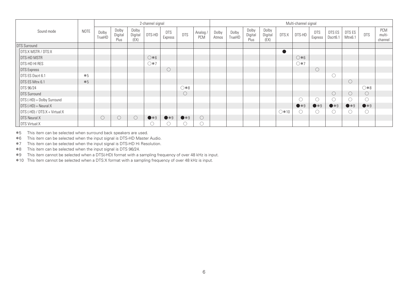|                               |      | 2-channel signal |                          |                          |               |                       |              |                 |                | Multi-channel signal |                          |                          |               |               |                       |                    |                   |                     |                          |  |
|-------------------------------|------|------------------|--------------------------|--------------------------|---------------|-----------------------|--------------|-----------------|----------------|----------------------|--------------------------|--------------------------|---------------|---------------|-----------------------|--------------------|-------------------|---------------------|--------------------------|--|
| Sound mode                    | NOTE | Dolby<br>TrueHD  | Dolby<br>Digital<br>Plus | Dolby<br>Digital<br>(EX) | DTS-HD        | <b>DTS</b><br>Express | <b>DTS</b>   | Analog /<br>PCM | Dolby<br>Atmos | Dolby<br>TrueHD      | Dolby<br>Digital<br>Plus | Dolby<br>Digital<br>(EX) | DTS:X         | DTS-HD        | <b>DTS</b><br>Express | DTS ES<br>Dscrt6.1 | DTS ES<br>Mtrx6.1 | <b>DTS</b>          | PCM<br>multi-<br>channel |  |
| <b>DTS Surround</b>           |      |                  |                          |                          |               |                       |              |                 |                |                      |                          |                          |               |               |                       |                    |                   |                     |                          |  |
| <b>DTS:X MSTR / DTS:X</b>     |      |                  |                          |                          |               |                       |              |                 |                |                      |                          |                          |               |               |                       |                    |                   |                     |                          |  |
| <b>DTS-HD MSTR</b>            |      |                  |                          |                          | $\bigcirc *6$ |                       |              |                 |                |                      |                          |                          |               | $\bigcirc *6$ |                       |                    |                   |                     |                          |  |
| <b>DTS-HD HI RES</b>          |      |                  |                          |                          | $\bigcirc *7$ |                       |              |                 |                |                      |                          |                          |               | ○*7           |                       |                    |                   |                     |                          |  |
| DTS Express                   |      |                  |                          |                          |               | $\circ$               |              |                 |                |                      |                          |                          |               |               | $\bigcirc$            |                    |                   |                     |                          |  |
| DTS ES Dscrt 6.1              | $*5$ |                  |                          |                          |               |                       |              |                 |                |                      |                          |                          |               |               |                       |                    |                   |                     |                          |  |
| DTS ES Mtrx 6.1               | $*5$ |                  |                          |                          |               |                       |              |                 |                |                      |                          |                          |               |               |                       |                    | $\circ$           |                     |                          |  |
| DTS 96/24                     |      |                  |                          |                          |               |                       | $0*0$        |                 |                |                      |                          |                          |               |               |                       |                    |                   | $0*8$               |                          |  |
| DTS Surround                  |      |                  |                          |                          |               |                       | $\circ$      |                 |                |                      |                          |                          |               |               |                       | O                  | $\circ$           | $\circlearrowright$ |                          |  |
| DTS (-HD) + Dolby Surround    |      |                  |                          |                          |               |                       |              |                 |                |                      |                          |                          |               | O             | O                     |                    | $\circ$           | O                   |                          |  |
| $DTS (+HD) + Neural:X$        |      |                  |                          |                          |               |                       |              |                 |                |                      |                          |                          |               | $\bullet *9$  | $\bullet *9$          | $\bullet *9$       | $\bullet *9$      | $\bullet *9$        |                          |  |
| DTS (-HD) / DTS:X + Virtual:X |      |                  |                          |                          |               |                       |              |                 |                |                      |                          |                          | $\bigcirc*10$ | O             | O                     | . .                | $\circ$           | O                   |                          |  |
| DTS Neural:X                  |      | $\circ$          | $\circlearrowright$      | $\bigcirc$               | $\bullet *9$  | $\bullet *9$          | $\bullet *9$ |                 |                |                      |                          |                          |               |               |                       |                    |                   |                     |                          |  |
| DTS Virtual:X                 |      |                  |                          |                          |               | U                     | . .          |                 |                |                      |                          |                          |               |               |                       |                    |                   |                     |                          |  |

z5 This item can be selected when surround back speakers are used.

z6 This item can be selected when the input signal is DTS-HD Master Audio.

\*7 This item can be selected when the input signal is DTS-HD Hi Resolution.

\*8 This item can be selected when the input signal is DTS 96/24.

z9 This item cannot be selected when a DTS(-HD) format with a sampling frequency of over 48 kHz is input.

\*10 This item cannot be selected when a DTS:X format with a sampling frequency of over 48 kHz is input.